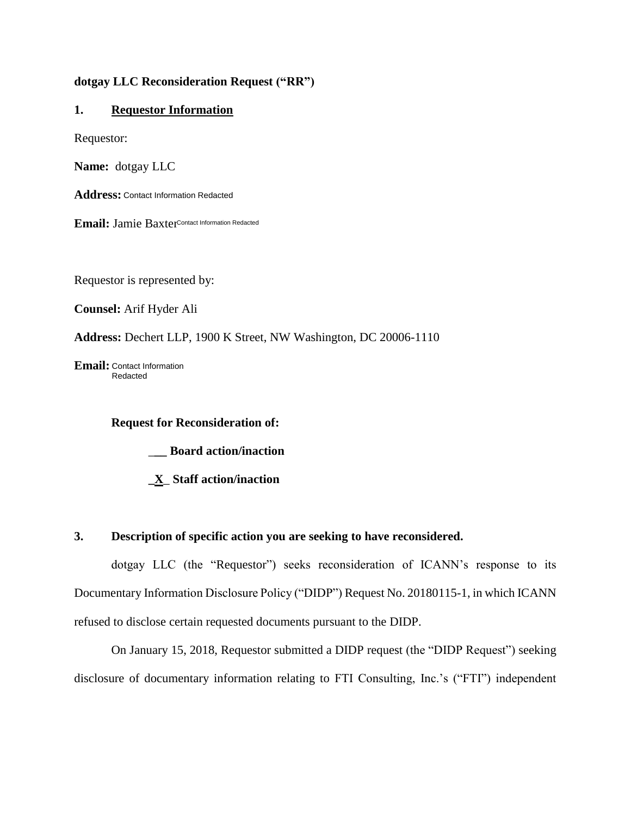### **dotgay LLC Reconsideration Request ("RR")**

## **1. Requestor Information**

Requestor:

**Name:** dotgay LLC

**Address:**  Contact Information Redacted

**Email:** Jamie Baxter Contact Information Redacted

Requestor is represented by:

**Counsel:** Arif Hyder Ali

**Address:** Dechert LLP, 1900 K Street, NW Washington, DC 20006-1110

**Email:** Contact Information Redacted

 **Request for Reconsideration of:** 

\_**\_\_ Board action/inaction** 

**\_X**\_ **Staff action/inaction** 

## **3. Description of specific action you are seeking to have reconsidered.**

dotgay LLC (the "Requestor") seeks reconsideration of ICANN's response to its Documentary Information Disclosure Policy ("DIDP") Request No. 20180115-1, in which ICANN refused to disclose certain requested documents pursuant to the DIDP.

On January 15, 2018, Requestor submitted a DIDP request (the "DIDP Request") seeking disclosure of documentary information relating to FTI Consulting, Inc.'s ("FTI") independent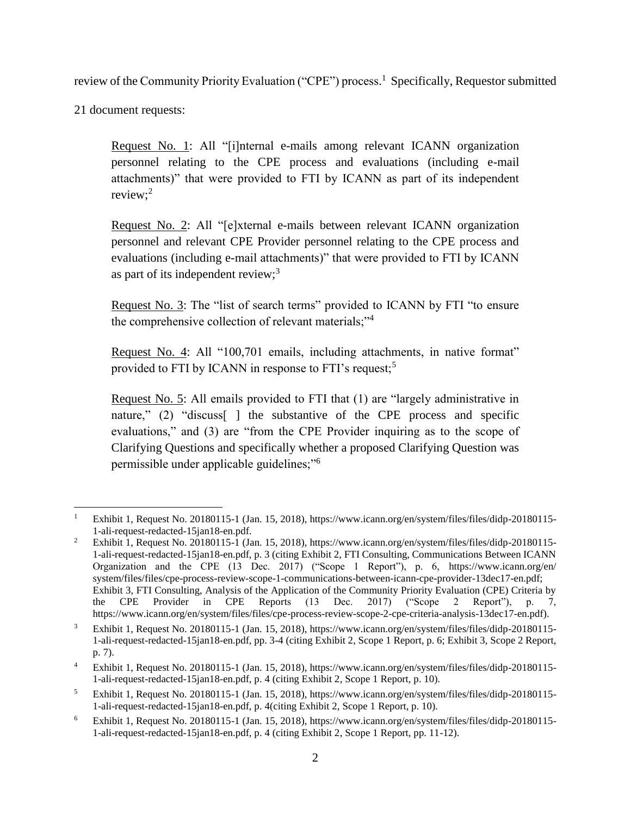review of the Community Priority Evaluation ("CPE") process.<sup>1</sup> Specifically, Requestor submitted

21 document requests:

Request No. 1: All "[i]nternal e-mails among relevant ICANN organization personnel relating to the CPE process and evaluations (including e-mail attachments)" that were provided to FTI by ICANN as part of its independent review; $^2$ 

Request No. 2: All "[e]xternal e-mails between relevant ICANN organization personnel and relevant CPE Provider personnel relating to the CPE process and evaluations (including e-mail attachments)" that were provided to FTI by ICANN as part of its independent review; $3$ 

Request No. 3: The "list of search terms" provided to ICANN by FTI "to ensure the comprehensive collection of relevant materials;"<sup>4</sup>

Request No. 4: All "100,701 emails, including attachments, in native format" provided to FTI by ICANN in response to FTI's request;<sup>5</sup>

Request No. 5: All emails provided to FTI that (1) are "largely administrative in nature," (2) "discuss<sup>[]</sup> the substantive of the CPE process and specific evaluations," and (3) are "from the CPE Provider inquiring as to the scope of Clarifying Questions and specifically whether a proposed Clarifying Question was permissible under applicable guidelines;"<sup>6</sup>

 $\overline{a}$ <sup>1</sup> Exhibit 1, Request No. 20180115-1 (Jan. 15, 2018), https://www.icann.org/en/system/files/files/didp-20180115- 1-ali-request-redacted-15jan18-en.pdf.

<sup>&</sup>lt;sup>2</sup> Exhibit 1, Request No. 20180115-1 (Jan. 15, 2018), https://www.icann.org/en/system/files/files/didp-20180115-1-ali-request-redacted-15jan18-en.pdf, p. 3 (citing Exhibit 2, FTI Consulting, Communications Between ICANN Organization and the CPE (13 Dec. 2017) ("Scope 1 Report"), p. 6, https://www.icann.org/en/ system/files/files/cpe-process-review-scope-1-communications-between-icann-cpe-provider-13dec17-en.pdf; Exhibit 3, FTI Consulting, Analysis of the Application of the Community Priority Evaluation (CPE) Criteria by the CPE Provider in CPE Reports (13 Dec. 2017) ("Scope 2 Report"), p. 7, the CPE Provider in CPE Reports (13 Dec. 2017) ("Scope 2 Report"), p. 7, https://www.icann.org/en/system/files/files/cpe-process-review-scope-2-cpe-criteria-analysis-13dec17-en.pdf).

<sup>3</sup> Exhibit 1, Request No. 20180115-1 (Jan. 15, 2018), https://www.icann.org/en/system/files/files/didp-20180115- 1-ali-request-redacted-15jan18-en.pdf, pp. 3-4 (citing Exhibit 2, Scope 1 Report, p. 6; Exhibit 3, Scope 2 Report, p. 7).

<sup>4</sup> Exhibit 1, Request No. 20180115-1 (Jan. 15, 2018), https://www.icann.org/en/system/files/files/didp-20180115- 1-ali-request-redacted-15jan18-en.pdf, p. 4 (citing Exhibit 2, Scope 1 Report, p. 10).

<sup>5</sup> Exhibit 1, Request No. 20180115-1 (Jan. 15, 2018), https://www.icann.org/en/system/files/files/didp-20180115- 1-ali-request-redacted-15jan18-en.pdf, p. 4(citing Exhibit 2, Scope 1 Report, p. 10).

<sup>6</sup> Exhibit 1, Request No. 20180115-1 (Jan. 15, 2018), https://www.icann.org/en/system/files/files/didp-20180115- 1-ali-request-redacted-15jan18-en.pdf, p. 4 (citing Exhibit 2, Scope 1 Report, pp. 11-12).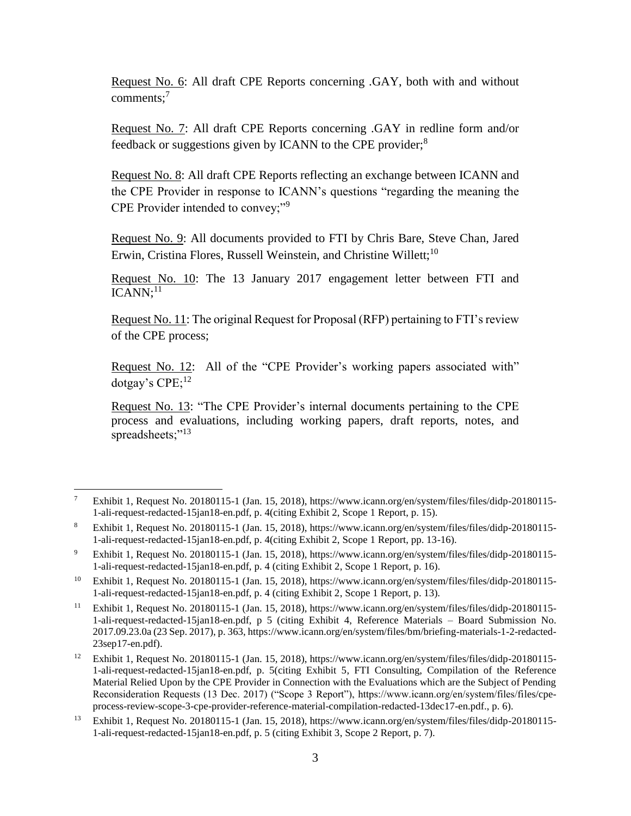Request No. 6: All draft CPE Reports concerning .GAY, both with and without comments;<sup>7</sup>

Request No. 7: All draft CPE Reports concerning .GAY in redline form and/or feedback or suggestions given by ICANN to the CPE provider;<sup>8</sup>

Request No. 8: All draft CPE Reports reflecting an exchange between ICANN and the CPE Provider in response to ICANN's questions "regarding the meaning the CPE Provider intended to convey;"<sup>9</sup>

Request No. 9: All documents provided to FTI by Chris Bare, Steve Chan, Jared Erwin, Cristina Flores, Russell Weinstein, and Christine Willett;<sup>10</sup>

Request No. 10: The 13 January 2017 engagement letter between FTI and  $ICANN:$ <sup>11</sup>

Request No. 11: The original Request for Proposal (RFP) pertaining to FTI's review of the CPE process;

Request No. 12: All of the "CPE Provider's working papers associated with" dotgay's CPE;<sup>12</sup>

Request No. 13: "The CPE Provider's internal documents pertaining to the CPE process and evaluations, including working papers, draft reports, notes, and spreadsheets;"<sup>13</sup>

<sup>7</sup> Exhibit 1, Request No. 20180115-1 (Jan. 15, 2018), https://www.icann.org/en/system/files/files/didp-20180115- 1-ali-request-redacted-15jan18-en.pdf, p. 4(citing Exhibit 2, Scope 1 Report, p. 15).

<sup>8</sup> Exhibit 1, Request No. 20180115-1 (Jan. 15, 2018), https://www.icann.org/en/system/files/files/didp-20180115- 1-ali-request-redacted-15jan18-en.pdf, p. 4(citing Exhibit 2, Scope 1 Report, pp. 13-16).

<sup>9</sup> Exhibit 1, Request No. 20180115-1 (Jan. 15, 2018), https://www.icann.org/en/system/files/files/didp-20180115- 1-ali-request-redacted-15jan18-en.pdf, p. 4 (citing Exhibit 2, Scope 1 Report, p. 16).

<sup>&</sup>lt;sup>10</sup> Exhibit 1, Request No. 20180115-1 (Jan. 15, 2018), https://www.icann.org/en/system/files/files/didp-20180115-1-ali-request-redacted-15jan18-en.pdf, p. 4 (citing Exhibit 2, Scope 1 Report, p. 13).

<sup>11</sup> Exhibit 1, Request No. 20180115-1 (Jan. 15, 2018), https://www.icann.org/en/system/files/files/didp-20180115- 1-ali-request-redacted-15jan18-en.pdf, p 5 (citing Exhibit 4, Reference Materials – Board Submission No. 2017.09.23.0a (23 Sep. 2017), p. 363, https://www.icann.org/en/system/files/bm/briefing-materials-1-2-redacted-23sep17-en.pdf).

<sup>&</sup>lt;sup>12</sup> Exhibit 1, Request No. 20180115-1 (Jan. 15, 2018), https://www.icann.org/en/system/files/files/didp-20180115-1-ali-request-redacted-15jan18-en.pdf, p. 5(citing Exhibit 5, FTI Consulting, Compilation of the Reference Material Relied Upon by the CPE Provider in Connection with the Evaluations which are the Subject of Pending Reconsideration Requests (13 Dec. 2017) ("Scope 3 Report"), https://www.icann.org/en/system/files/files/cpeprocess-review-scope-3-cpe-provider-reference-material-compilation-redacted-13dec17-en.pdf., p. 6).

<sup>13</sup> Exhibit 1, Request No. 20180115-1 (Jan. 15, 2018), https://www.icann.org/en/system/files/files/didp-20180115- 1-ali-request-redacted-15jan18-en.pdf, p. 5 (citing Exhibit 3, Scope 2 Report, p. 7).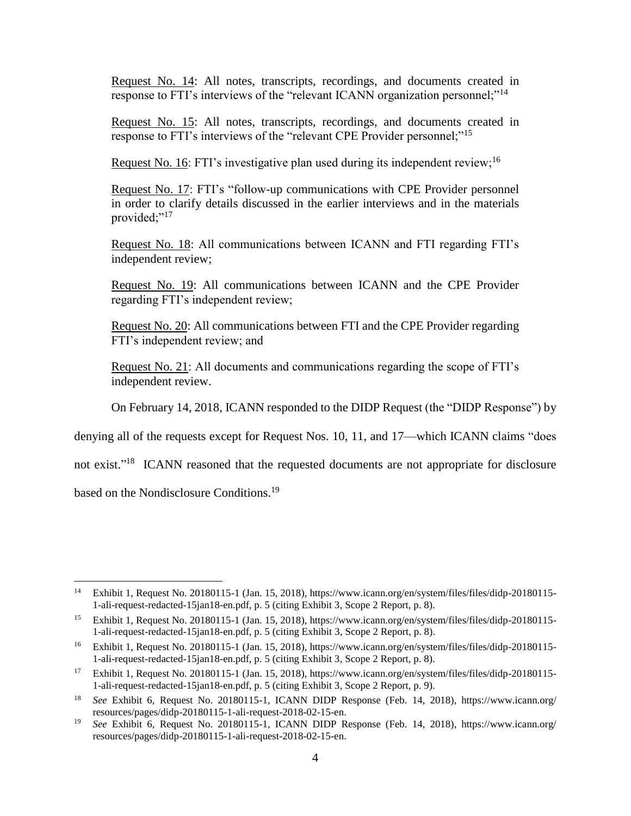Request No. 14: All notes, transcripts, recordings, and documents created in response to FTI's interviews of the "relevant ICANN organization personnel;"<sup>14</sup>

Request No. 15: All notes, transcripts, recordings, and documents created in response to FTI's interviews of the "relevant CPE Provider personnel;"<sup>15</sup>

Request No. 16: FTI's investigative plan used during its independent review;<sup>16</sup>

Request No. 17: FTI's "follow-up communications with CPE Provider personnel in order to clarify details discussed in the earlier interviews and in the materials provided;"<sup>17</sup>

Request No. 18: All communications between ICANN and FTI regarding FTI's independent review;

Request No. 19: All communications between ICANN and the CPE Provider regarding FTI's independent review;

Request No. 20: All communications between FTI and the CPE Provider regarding FTI's independent review; and

Request No. 21: All documents and communications regarding the scope of FTI's independent review.

On February 14, 2018, ICANN responded to the DIDP Request (the "DIDP Response") by

denying all of the requests except for Request Nos. 10, 11, and 17—which ICANN claims "does

not exist."<sup>18</sup> ICANN reasoned that the requested documents are not appropriate for disclosure

based on the Nondisclosure Conditions.<sup>19</sup>

<sup>14</sup> Exhibit 1, Request No. 20180115-1 (Jan. 15, 2018), https://www.icann.org/en/system/files/files/didp-20180115- 1-ali-request-redacted-15jan18-en.pdf, p. 5 (citing Exhibit 3, Scope 2 Report, p. 8).

<sup>&</sup>lt;sup>15</sup> Exhibit 1, Request No. 20180115-1 (Jan. 15, 2018), https://www.icann.org/en/system/files/files/didp-20180115-1-ali-request-redacted-15jan18-en.pdf, p. 5 (citing Exhibit 3, Scope 2 Report, p. 8).

<sup>&</sup>lt;sup>16</sup> Exhibit 1, Request No. 20180115-1 (Jan. 15, 2018), https://www.icann.org/en/system/files/files/didp-20180115-1-ali-request-redacted-15jan18-en.pdf, p. 5 (citing Exhibit 3, Scope 2 Report, p. 8).

<sup>17</sup> Exhibit 1, Request No. 20180115-1 (Jan. 15, 2018), https://www.icann.org/en/system/files/files/didp-20180115- 1-ali-request-redacted-15jan18-en.pdf, p. 5 (citing Exhibit 3, Scope 2 Report, p. 9).

<sup>18</sup> *See* Exhibit 6, Request No. 20180115-1, ICANN DIDP Response (Feb. 14, 2018), https://www.icann.org/ resources/pages/didp-20180115-1-ali-request-2018-02-15-en.

<sup>19</sup> *See* Exhibit 6, Request No. 20180115-1, ICANN DIDP Response (Feb. 14, 2018), https://www.icann.org/ resources/pages/didp-20180115-1-ali-request-2018-02-15-en.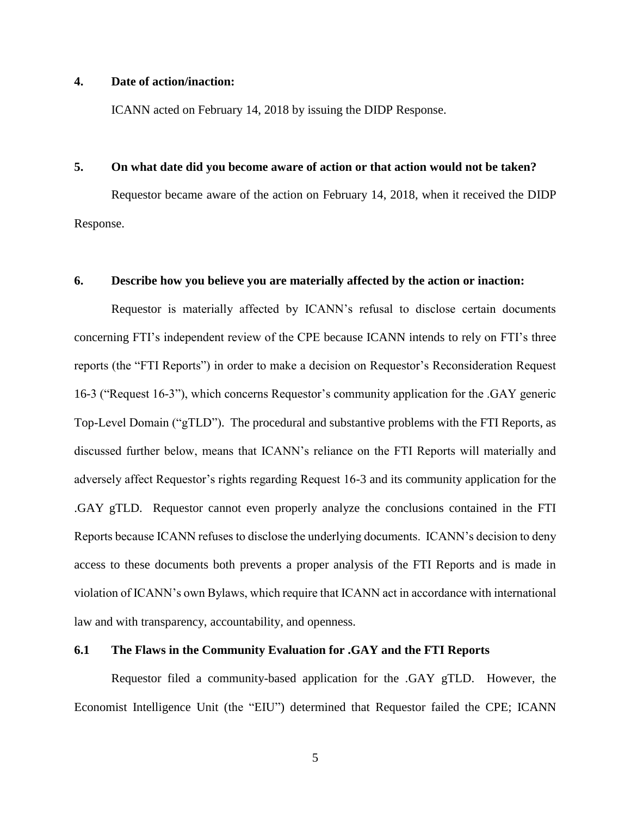### **4. Date of action/inaction:**

ICANN acted on February 14, 2018 by issuing the DIDP Response.

### **5. On what date did you become aware of action or that action would not be taken?**

Requestor became aware of the action on February 14, 2018, when it received the DIDP Response.

### **6. Describe how you believe you are materially affected by the action or inaction:**

Requestor is materially affected by ICANN's refusal to disclose certain documents concerning FTI's independent review of the CPE because ICANN intends to rely on FTI's three reports (the "FTI Reports") in order to make a decision on Requestor's Reconsideration Request 16-3 ("Request 16-3"), which concerns Requestor's community application for the .GAY generic Top-Level Domain ("gTLD"). The procedural and substantive problems with the FTI Reports, as discussed further below, means that ICANN's reliance on the FTI Reports will materially and adversely affect Requestor's rights regarding Request 16-3 and its community application for the .GAY gTLD. Requestor cannot even properly analyze the conclusions contained in the FTI Reports because ICANN refuses to disclose the underlying documents. ICANN's decision to deny access to these documents both prevents a proper analysis of the FTI Reports and is made in violation of ICANN's own Bylaws, which require that ICANN act in accordance with international law and with transparency, accountability, and openness.

### **6.1 The Flaws in the Community Evaluation for .GAY and the FTI Reports**

Requestor filed a community-based application for the .GAY gTLD. However, the Economist Intelligence Unit (the "EIU") determined that Requestor failed the CPE; ICANN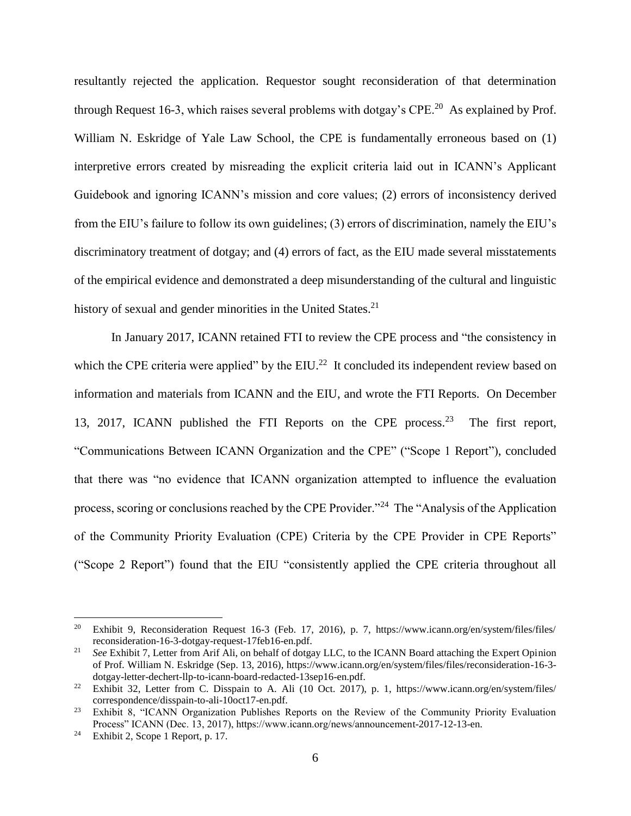resultantly rejected the application. Requestor sought reconsideration of that determination through Request 16-3, which raises several problems with dotgay's  $\text{CPE.}^{20}$  As explained by Prof. William N. Eskridge of Yale Law School, the CPE is fundamentally erroneous based on (1) interpretive errors created by misreading the explicit criteria laid out in ICANN's Applicant Guidebook and ignoring ICANN's mission and core values; (2) errors of inconsistency derived from the EIU's failure to follow its own guidelines; (3) errors of discrimination, namely the EIU's discriminatory treatment of dotgay; and (4) errors of fact, as the EIU made several misstatements of the empirical evidence and demonstrated a deep misunderstanding of the cultural and linguistic history of sexual and gender minorities in the United States.<sup>21</sup>

In January 2017, ICANN retained FTI to review the CPE process and "the consistency in which the CPE criteria were applied" by the  $EIU.^{22}$  It concluded its independent review based on information and materials from ICANN and the EIU, and wrote the FTI Reports. On December 13, 2017, ICANN published the FTI Reports on the CPE process.<sup>23</sup> The first report, "Communications Between ICANN Organization and the CPE" ("Scope 1 Report"), concluded that there was "no evidence that ICANN organization attempted to influence the evaluation process, scoring or conclusions reached by the CPE Provider."<sup>24</sup> The "Analysis of the Application of the Community Priority Evaluation (CPE) Criteria by the CPE Provider in CPE Reports" ("Scope 2 Report") found that the EIU "consistently applied the CPE criteria throughout all

<sup>&</sup>lt;sup>20</sup> Exhibit 9, Reconsideration Request 16-3 (Feb. 17, 2016), p. 7, https://www.icann.org/en/system/files/files/ reconsideration-16-3-dotgay-request-17feb16-en.pdf.

<sup>&</sup>lt;sup>21</sup> *See* Exhibit 7, Letter from Arif Ali, on behalf of dotgay LLC, to the ICANN Board attaching the Expert Opinion of Prof. William N. Eskridge (Sep. 13, 2016), https://www.icann.org/en/system/files/files/reconsideration-16-3 dotgay-letter-dechert-llp-to-icann-board-redacted-13sep16-en.pdf.

<sup>&</sup>lt;sup>22</sup> Exhibit 32, Letter from C. Disspain to A. Ali (10 Oct. 2017), p. 1, https://www.icann.org/en/system/files/ correspondence/disspain-to-ali-10oct17-en.pdf.

<sup>&</sup>lt;sup>23</sup> Exhibit 8, "ICANN Organization Publishes Reports on the Review of the Community Priority Evaluation Process" ICANN (Dec. 13, 2017), https://www.icann.org/news/announcement-2017-12-13-en.

<sup>24</sup> Exhibit 2, Scope 1 Report, p. 17.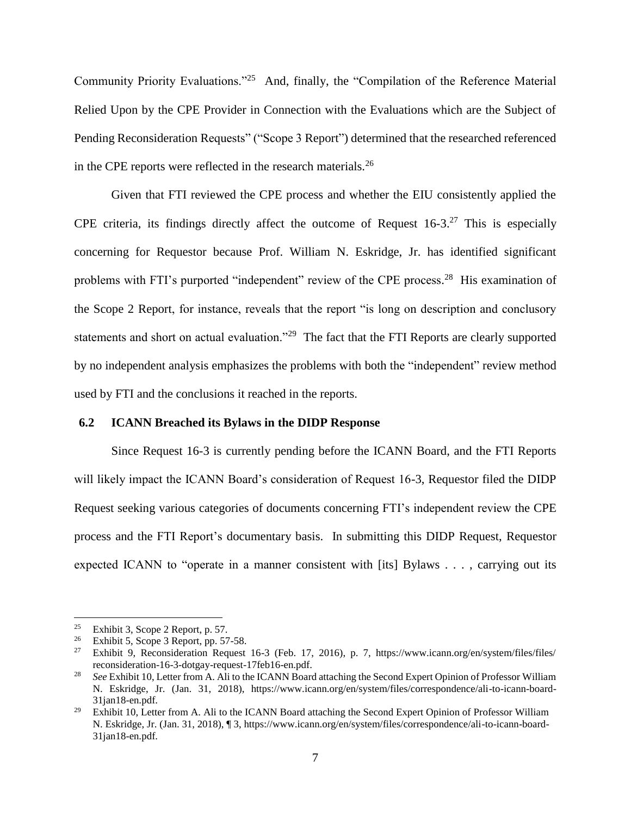Community Priority Evaluations."<sup>25</sup> And, finally, the "Compilation of the Reference Material Relied Upon by the CPE Provider in Connection with the Evaluations which are the Subject of Pending Reconsideration Requests" ("Scope 3 Report") determined that the researched referenced in the CPE reports were reflected in the research materials. $2<sup>6</sup>$ 

Given that FTI reviewed the CPE process and whether the EIU consistently applied the CPE criteria, its findings directly affect the outcome of Request  $16-3$ .<sup>27</sup> This is especially concerning for Requestor because Prof. William N. Eskridge, Jr. has identified significant problems with FTI's purported "independent" review of the CPE process.<sup>28</sup> His examination of the Scope 2 Report, for instance, reveals that the report "is long on description and conclusory statements and short on actual evaluation."<sup>29</sup> The fact that the FTI Reports are clearly supported by no independent analysis emphasizes the problems with both the "independent" review method used by FTI and the conclusions it reached in the reports.

### **6.2 ICANN Breached its Bylaws in the DIDP Response**

Since Request 16-3 is currently pending before the ICANN Board, and the FTI Reports will likely impact the ICANN Board's consideration of Request 16-3, Requestor filed the DIDP Request seeking various categories of documents concerning FTI's independent review the CPE process and the FTI Report's documentary basis. In submitting this DIDP Request, Requestor expected ICANN to "operate in a manner consistent with [its] Bylaws . . . , carrying out its

<sup>&</sup>lt;sup>25</sup> Exhibit 3, Scope 2 Report, p. 57.

<sup>&</sup>lt;sup>26</sup> Exhibit 5, Scope 3 Report, pp. 57-58.<br><sup>27</sup> Exhibit 9 Reconsideration Request

<sup>27</sup> Exhibit 9, Reconsideration Request 16-3 (Feb. 17, 2016), p. 7, https://www.icann.org/en/system/files/files/ reconsideration-16-3-dotgay-request-17feb16-en.pdf.

<sup>28</sup> *See* Exhibit 10, Letter from A. Ali to the ICANN Board attaching the Second Expert Opinion of Professor William N. Eskridge, Jr. (Jan. 31, 2018), https://www.icann.org/en/system/files/correspondence/ali-to-icann-board-31jan18-en.pdf.

<sup>&</sup>lt;sup>29</sup> Exhibit 10, Letter from A. Ali to the ICANN Board attaching the Second Expert Opinion of Professor William N. Eskridge, Jr. (Jan. 31, 2018), ¶ 3, https://www.icann.org/en/system/files/correspondence/ali-to-icann-board-31jan18-en.pdf.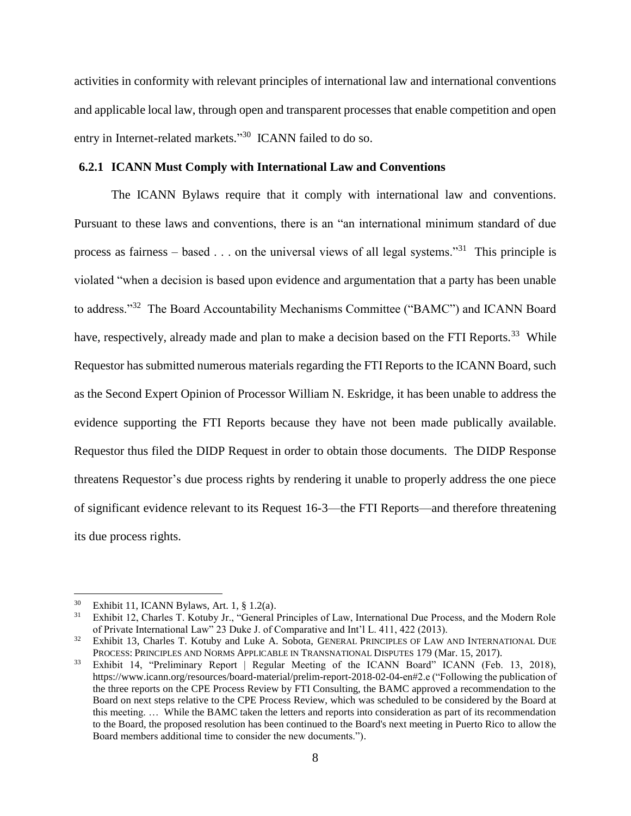activities in conformity with relevant principles of international law and international conventions and applicable local law, through open and transparent processes that enable competition and open entry in Internet-related markets."<sup>30</sup> ICANN failed to do so.

### **6.2.1 ICANN Must Comply with International Law and Conventions**

The ICANN Bylaws require that it comply with international law and conventions. Pursuant to these laws and conventions, there is an "an international minimum standard of due process as fairness – based  $\ldots$  on the universal views of all legal systems."<sup>31</sup> This principle is violated "when a decision is based upon evidence and argumentation that a party has been unable to address."<sup>32</sup> The Board Accountability Mechanisms Committee ("BAMC") and ICANN Board have, respectively, already made and plan to make a decision based on the FTI Reports.<sup>33</sup> While Requestor has submitted numerous materials regarding the FTI Reports to the ICANN Board, such as the Second Expert Opinion of Processor William N. Eskridge, it has been unable to address the evidence supporting the FTI Reports because they have not been made publically available. Requestor thus filed the DIDP Request in order to obtain those documents. The DIDP Response threatens Requestor's due process rights by rendering it unable to properly address the one piece of significant evidence relevant to its Request 16-3—the FTI Reports—and therefore threatening its due process rights.

<sup>&</sup>lt;sup>30</sup> Exhibit 11, ICANN Bylaws, Art. 1,  $\S$  1.2(a).<br><sup>31</sup> Exhibit 12, Charles T. Kotuby Ir. "General l

<sup>31</sup> Exhibit 12, Charles T. Kotuby Jr., "General Principles of Law, International Due Process, and the Modern Role of Private International Law" 23 Duke J. of Comparative and Int'l L. 411, 422 (2013).

<sup>&</sup>lt;sup>32</sup> Exhibit 13, Charles T. Kotuby and Luke A. Sobota, GENERAL PRINCIPLES OF LAW AND INTERNATIONAL DUE PROCESS: PRINCIPLES AND NORMS APPLICABLE IN TRANSNATIONAL DISPUTES 179 (Mar. 15, 2017).

<sup>&</sup>lt;sup>33</sup> Exhibit 14, "Preliminary Report | Regular Meeting of the ICANN Board" ICANN (Feb. 13, 2018), https://www.icann.org/resources/board-material/prelim-report-2018-02-04-en#2.e ("Following the publication of the three reports on the CPE Process Review by FTI Consulting, the BAMC approved a recommendation to the Board on next steps relative to the CPE Process Review, which was scheduled to be considered by the Board at this meeting. … While the BAMC taken the letters and reports into consideration as part of its recommendation to the Board, the proposed resolution has been continued to the Board's next meeting in Puerto Rico to allow the Board members additional time to consider the new documents.").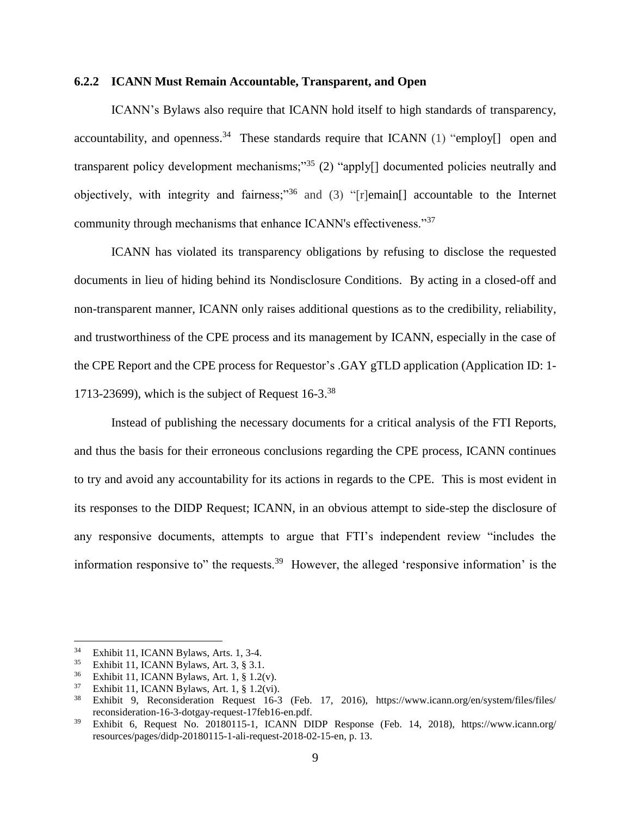### **6.2.2 ICANN Must Remain Accountable, Transparent, and Open**

ICANN's Bylaws also require that ICANN hold itself to high standards of transparency, accountability, and openness.<sup>34</sup> These standards require that ICANN (1) "employ[] open and transparent policy development mechanisms;"<sup>35</sup> (2) "apply<sup>[]</sup> documented policies neutrally and objectively, with integrity and fairness;<sup>36</sup> and (3) "[r]emain[] accountable to the Internet community through mechanisms that enhance ICANN's effectiveness."<sup>37</sup>

ICANN has violated its transparency obligations by refusing to disclose the requested documents in lieu of hiding behind its Nondisclosure Conditions. By acting in a closed-off and non-transparent manner, ICANN only raises additional questions as to the credibility, reliability, and trustworthiness of the CPE process and its management by ICANN, especially in the case of the CPE Report and the CPE process for Requestor's .GAY gTLD application (Application ID: 1- 1713-23699), which is the subject of Request  $16-3.^{38}$ 

Instead of publishing the necessary documents for a critical analysis of the FTI Reports, and thus the basis for their erroneous conclusions regarding the CPE process, ICANN continues to try and avoid any accountability for its actions in regards to the CPE. This is most evident in its responses to the DIDP Request; ICANN, in an obvious attempt to side-step the disclosure of any responsive documents, attempts to argue that FTI's independent review "includes the information responsive to" the requests.<sup>39</sup> However, the alleged 'responsive information' is the

 $3^3$  Exhibit 11, ICANN Bylaws, Arts. 1, 3-4.

<sup>&</sup>lt;sup>35</sup> Exhibit 11, ICANN Bylaws, Art. 3,  $\S$  3.1.<br><sup>36</sup> Exhibit 11, ICANN Bylaws, Art. 1,  $\S$  1.20

<sup>&</sup>lt;sup>36</sup> Exhibit 11, ICANN Bylaws, Art. 1,  $\S 1.2(v)$ .<br><sup>37</sup> Exhibit 11 ICANN Bylaws, Art. 1,  $\S 1.2(vi)$ .

<sup>&</sup>lt;sup>37</sup> Exhibit 11, ICANN Bylaws, Art. 1,  $\S$  1.2(vi).<br><sup>38</sup> Exhibit 0. Peconsideration, Pequest, 16.3

<sup>38</sup> Exhibit 9, Reconsideration Request 16-3 (Feb. 17, 2016), https://www.icann.org/en/system/files/files/ reconsideration-16-3-dotgay-request-17feb16-en.pdf.

<sup>39</sup> Exhibit 6, Request No. 20180115-1, ICANN DIDP Response (Feb. 14, 2018), https://www.icann.org/ resources/pages/didp-20180115-1-ali-request-2018-02-15-en, p. 13.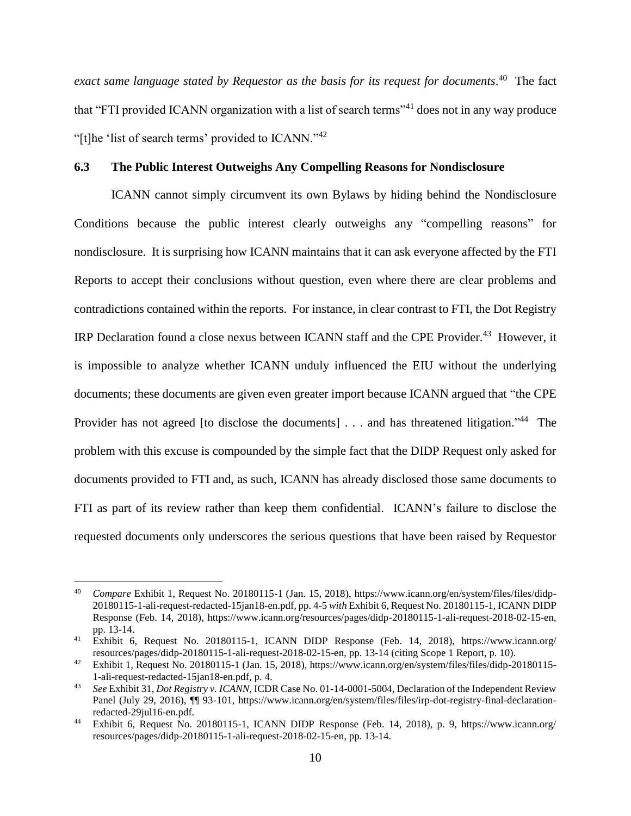*exact same language stated by Requestor as the basis for its request for documents*. 40 The fact that "FTI provided ICANN organization with a list of search terms"<sup>41</sup> does not in any way produce "[t]he 'list of search terms' provided to ICANN."<sup>42</sup>

### **6.3 The Public Interest Outweighs Any Compelling Reasons for Nondisclosure**

ICANN cannot simply circumvent its own Bylaws by hiding behind the Nondisclosure Conditions because the public interest clearly outweighs any "compelling reasons" for nondisclosure. It is surprising how ICANN maintains that it can ask everyone affected by the FTI Reports to accept their conclusions without question, even where there are clear problems and contradictions contained within the reports. For instance, in clear contrast to FTI, the Dot Registry IRP Declaration found a close nexus between ICANN staff and the CPE Provider.<sup>43</sup> However, it is impossible to analyze whether ICANN unduly influenced the EIU without the underlying documents; these documents are given even greater import because ICANN argued that "the CPE Provider has not agreed [to disclose the documents] . . . and has threatened litigation."<sup>44</sup> The problem with this excuse is compounded by the simple fact that the DIDP Request only asked for documents provided to FTI and, as such, ICANN has already disclosed those same documents to FTI as part of its review rather than keep them confidential. ICANN's failure to disclose the requested documents only underscores the serious questions that have been raised by Requestor

<sup>40</sup> <sup>40</sup> *Compare* Exhibit 1, Request No. 20180115-1 (Jan. 15, 2018), https://www.icann.org/en/system/files/files/didp-20180115-1-ali-request-redacted-15jan18-en.pdf, pp. 4-5 *with* Exhibit 6, Request No. 20180115-1, ICANN DIDP Response (Feb. 14, 2018), https://www.icann.org/resources/pages/didp-20180115-1-ali-request-2018-02-15-en, pp. 13-14.

<sup>41</sup> Exhibit 6, Request No. 20180115-1, ICANN DIDP Response (Feb. 14, 2018), https://www.icann.org/ resources/pages/didp-20180115-1-ali-request-2018-02-15-en, pp. 13-14 (citing Scope 1 Report, p. 10).

<sup>&</sup>lt;sup>42</sup> Exhibit 1, Request No. 20180115-1 (Jan. 15, 2018), https://www.icann.org/en/system/files/files/didp-20180115-1-ali-request-redacted-15jan18-en.pdf, p. 4.

<sup>43</sup> *See* Exhibit 31, *Dot Registry v. ICANN*, ICDR Case No. 01-14-0001-5004, Declaration of the Independent Review Panel (July 29, 2016),  $\P\P$  93-101, https://www.icann.org/en/system/files/files/irp-dot-registry-final-declarationredacted-29jul16-en.pdf.

<sup>44</sup> Exhibit 6, Request No. 20180115-1, ICANN DIDP Response (Feb. 14, 2018), p. 9, https://www.icann.org/ resources/pages/didp-20180115-1-ali-request-2018-02-15-en, pp. 13-14.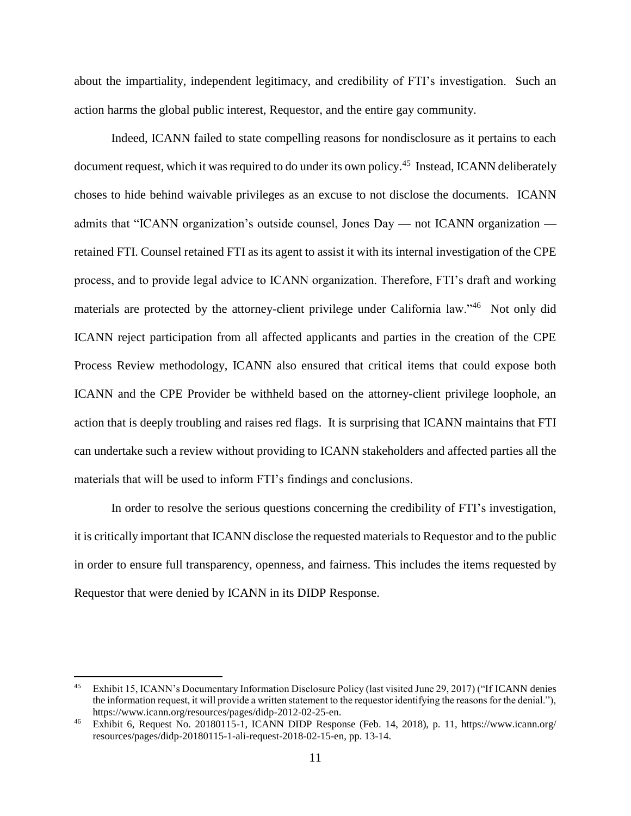about the impartiality, independent legitimacy, and credibility of FTI's investigation. Such an action harms the global public interest, Requestor, and the entire gay community.

Indeed, ICANN failed to state compelling reasons for nondisclosure as it pertains to each document request, which it was required to do under its own policy.<sup>45</sup> Instead, ICANN deliberately choses to hide behind waivable privileges as an excuse to not disclose the documents. ICANN admits that "ICANN organization's outside counsel, Jones Day — not ICANN organization retained FTI. Counsel retained FTI as its agent to assist it with its internal investigation of the CPE process, and to provide legal advice to ICANN organization. Therefore, FTI's draft and working materials are protected by the attorney-client privilege under California law."<sup>46</sup> Not only did ICANN reject participation from all affected applicants and parties in the creation of the CPE Process Review methodology, ICANN also ensured that critical items that could expose both ICANN and the CPE Provider be withheld based on the attorney-client privilege loophole, an action that is deeply troubling and raises red flags. It is surprising that ICANN maintains that FTI can undertake such a review without providing to ICANN stakeholders and affected parties all the materials that will be used to inform FTI's findings and conclusions.

In order to resolve the serious questions concerning the credibility of FTI's investigation, it is critically important that ICANN disclose the requested materials to Requestor and to the public in order to ensure full transparency, openness, and fairness. This includes the items requested by Requestor that were denied by ICANN in its DIDP Response.

<sup>45</sup> Exhibit 15, ICANN's Documentary Information Disclosure Policy (last visited June 29, 2017) ("If ICANN denies the information request, it will provide a written statement to the requestor identifying the reasons for the denial."), https://www.icann.org/resources/pages/didp-2012-02-25-en.

<sup>46</sup> Exhibit 6, Request No. 20180115-1, ICANN DIDP Response (Feb. 14, 2018), p. 11, https://www.icann.org/ resources/pages/didp-20180115-1-ali-request-2018-02-15-en, pp. 13-14.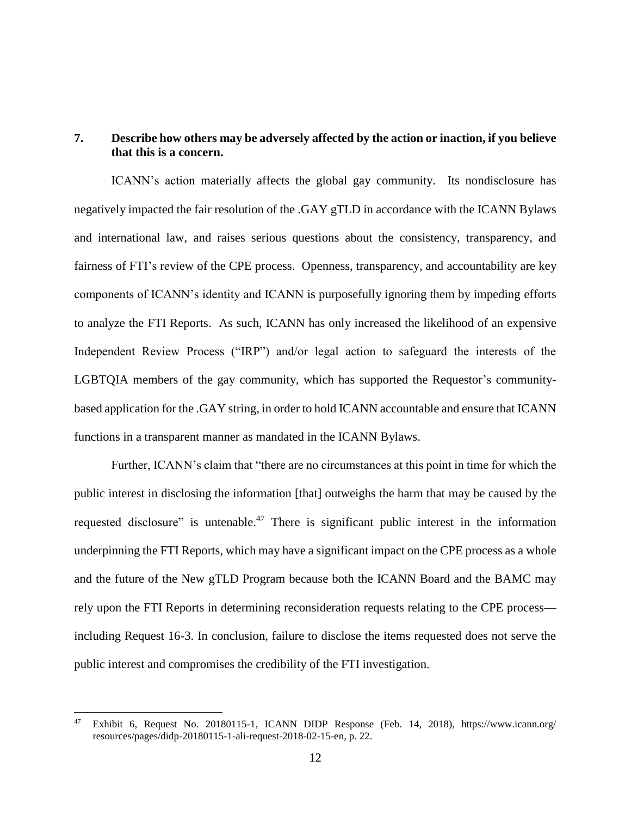## **7. Describe how others may be adversely affected by the action or inaction, if you believe that this is a concern.**

ICANN's action materially affects the global gay community. Its nondisclosure has negatively impacted the fair resolution of the .GAY gTLD in accordance with the ICANN Bylaws and international law, and raises serious questions about the consistency, transparency, and fairness of FTI's review of the CPE process. Openness, transparency, and accountability are key components of ICANN's identity and ICANN is purposefully ignoring them by impeding efforts to analyze the FTI Reports. As such, ICANN has only increased the likelihood of an expensive Independent Review Process ("IRP") and/or legal action to safeguard the interests of the LGBTQIA members of the gay community, which has supported the Requestor's communitybased application for the .GAY string, in order to hold ICANN accountable and ensure that ICANN functions in a transparent manner as mandated in the ICANN Bylaws.

Further, ICANN's claim that "there are no circumstances at this point in time for which the public interest in disclosing the information [that] outweighs the harm that may be caused by the requested disclosure" is untenable.<sup>47</sup> There is significant public interest in the information underpinning the FTI Reports, which may have a significant impact on the CPE process as a whole and the future of the New gTLD Program because both the ICANN Board and the BAMC may rely upon the FTI Reports in determining reconsideration requests relating to the CPE process including Request 16-3. In conclusion, failure to disclose the items requested does not serve the public interest and compromises the credibility of the FTI investigation.

<sup>47</sup> Exhibit 6, Request No. 20180115-1, ICANN DIDP Response (Feb. 14, 2018), https://www.icann.org/ resources/pages/didp-20180115-1-ali-request-2018-02-15-en, p. 22.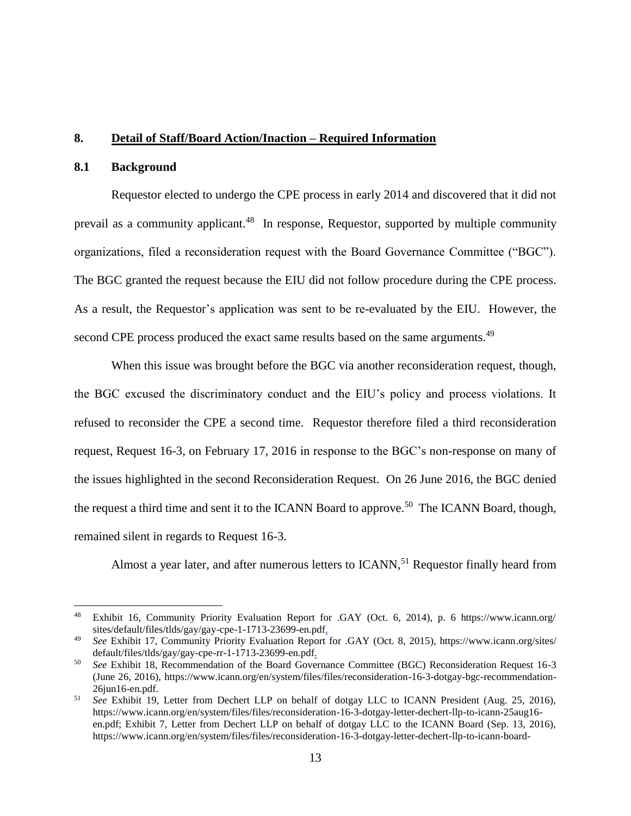### **8. Detail of Staff/Board Action/Inaction – Required Information**

### **8.1 Background**

 $\overline{a}$ 

Requestor elected to undergo the CPE process in early 2014 and discovered that it did not prevail as a community applicant.<sup>48</sup> In response, Requestor, supported by multiple community organizations, filed a reconsideration request with the Board Governance Committee ("BGC"). The BGC granted the request because the EIU did not follow procedure during the CPE process. As a result, the Requestor's application was sent to be re-evaluated by the EIU. However, the second CPE process produced the exact same results based on the same arguments.<sup>49</sup>

When this issue was brought before the BGC via another reconsideration request, though, the BGC excused the discriminatory conduct and the EIU's policy and process violations. It refused to reconsider the CPE a second time. Requestor therefore filed a third reconsideration request, Request 16-3, on February 17, 2016 in response to the BGC's non-response on many of the issues highlighted in the second Reconsideration Request. On 26 June 2016, the BGC denied the request a third time and sent it to the ICANN Board to approve.<sup>50</sup> The ICANN Board, though, remained silent in regards to Request 16-3.

Almost a year later, and after numerous letters to ICANN,<sup>51</sup> Requestor finally heard from

<sup>48</sup> Exhibit 16, Community Priority Evaluation Report for .GAY (Oct. 6, 2014), p. 6 https://www.icann.org/ sites/default/files/tlds/gay/gay-cpe-1-1713-23699-en.pdf.

<sup>49</sup> *See* Exhibit 17, Community Priority Evaluation Report for .GAY (Oct. 8, 2015), https://www.icann.org/sites/ default/files/tlds/gay/gay-cpe-rr-1-1713-23699-en.pdf.

<sup>50</sup> *See* Exhibit 18, Recommendation of the Board Governance Committee (BGC) Reconsideration Request 16-3 (June 26, 2016), https://www.icann.org/en/system/files/files/reconsideration-16-3-dotgay-bgc-recommendation-26jun16-en.pdf.

<sup>51</sup> *See* Exhibit 19, Letter from Dechert LLP on behalf of dotgay LLC to ICANN President (Aug. 25, 2016), https://www.icann.org/en/system/files/files/reconsideration-16-3-dotgay-letter-dechert-llp-to-icann-25aug16 en.pdf; Exhibit 7, Letter from Dechert LLP on behalf of dotgay LLC to the ICANN Board (Sep. 13, 2016), https://www.icann.org/en/system/files/files/reconsideration-16-3-dotgay-letter-dechert-llp-to-icann-board-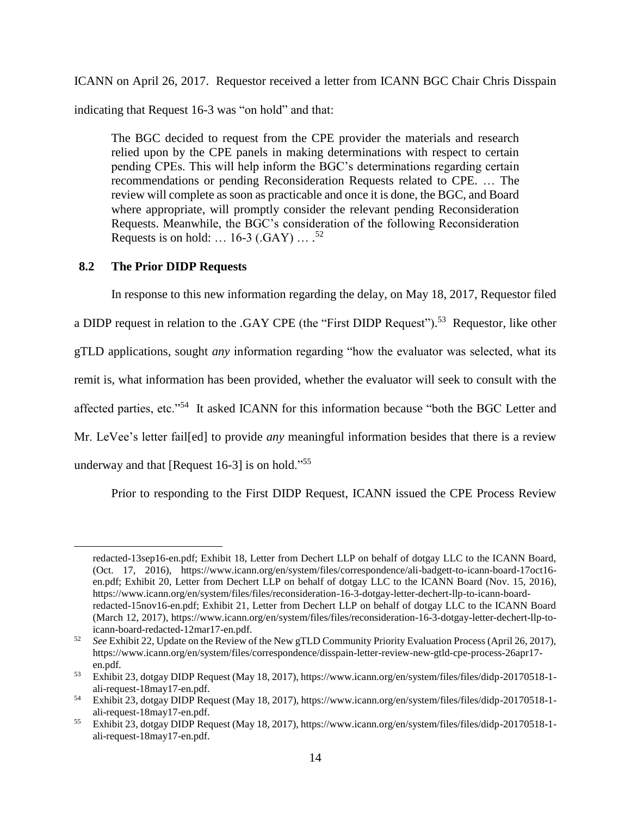ICANN on April 26, 2017. Requestor received a letter from ICANN BGC Chair Chris Disspain

indicating that Request 16-3 was "on hold" and that:

The BGC decided to request from the CPE provider the materials and research relied upon by the CPE panels in making determinations with respect to certain pending CPEs. This will help inform the BGC's determinations regarding certain recommendations or pending Reconsideration Requests related to CPE. … The review will complete as soon as practicable and once it is done, the BGC, and Board where appropriate, will promptly consider the relevant pending Reconsideration Requests. Meanwhile, the BGC's consideration of the following Reconsideration Requests is on hold:  $\dots$  16-3 (.GAY)  $\dots$ .<sup>52</sup>

## **8.2 The Prior DIDP Requests**

 $\overline{a}$ 

In response to this new information regarding the delay, on May 18, 2017, Requestor filed a DIDP request in relation to the .GAY CPE (the "First DIDP Request").<sup>53</sup> Requestor, like other gTLD applications, sought *any* information regarding "how the evaluator was selected, what its remit is, what information has been provided, whether the evaluator will seek to consult with the affected parties, etc."<sup>54</sup> It asked ICANN for this information because "both the BGC Letter and Mr. LeVee's letter fail[ed] to provide *any* meaningful information besides that there is a review underway and that [Request 16-3] is on hold."<sup>55</sup>

Prior to responding to the First DIDP Request, ICANN issued the CPE Process Review

redacted-13sep16-en.pdf; Exhibit 18, Letter from Dechert LLP on behalf of dotgay LLC to the ICANN Board, (Oct. 17, 2016), https://www.icann.org/en/system/files/correspondence/ali-badgett-to-icann-board-17oct16 en.pdf; Exhibit 20, Letter from Dechert LLP on behalf of dotgay LLC to the ICANN Board (Nov. 15, 2016), https://www.icann.org/en/system/files/files/reconsideration-16-3-dotgay-letter-dechert-llp-to-icann-boardredacted-15nov16-en.pdf; Exhibit 21, Letter from Dechert LLP on behalf of dotgay LLC to the ICANN Board (March 12, 2017), https://www.icann.org/en/system/files/files/reconsideration-16-3-dotgay-letter-dechert-llp-toicann-board-redacted-12mar17-en.pdf.

<sup>52</sup> *See* Exhibit 22, Update on the Review of the New gTLD Community Priority Evaluation Process (April 26, 2017), https://www.icann.org/en/system/files/correspondence/disspain-letter-review-new-gtld-cpe-process-26apr17 en.pdf.

<sup>53</sup> Exhibit 23, dotgay DIDP Request (May 18, 2017), https://www.icann.org/en/system/files/files/didp-20170518-1 ali-request-18may17-en.pdf.

<sup>54</sup> Exhibit 23, dotgay DIDP Request (May 18, 2017), https://www.icann.org/en/system/files/files/didp-20170518-1 ali-request-18may17-en.pdf.

<sup>55</sup> Exhibit 23, dotgay DIDP Request (May 18, 2017), https://www.icann.org/en/system/files/files/didp-20170518-1 ali-request-18may17-en.pdf.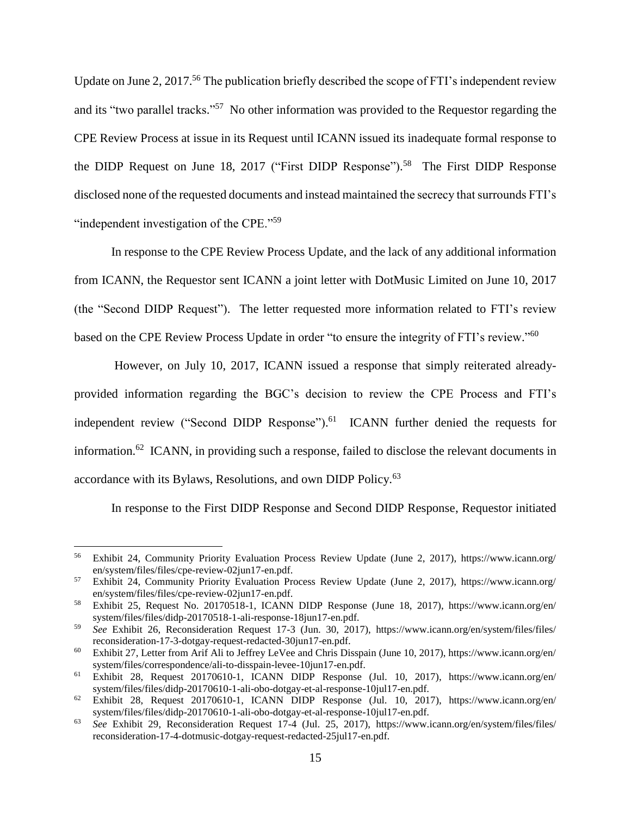Update on June 2, 2017.<sup>56</sup> The publication briefly described the scope of FTI's independent review and its "two parallel tracks."<sup>57</sup> No other information was provided to the Requestor regarding the CPE Review Process at issue in its Request until ICANN issued its inadequate formal response to the DIDP Request on June 18, 2017 ("First DIDP Response").<sup>58</sup> The First DIDP Response disclosed none of the requested documents and instead maintained the secrecy that surrounds FTI's "independent investigation of the CPE."<sup>59</sup>

In response to the CPE Review Process Update, and the lack of any additional information from ICANN, the Requestor sent ICANN a joint letter with DotMusic Limited on June 10, 2017 (the "Second DIDP Request"). The letter requested more information related to FTI's review based on the CPE Review Process Update in order "to ensure the integrity of FTI's review."<sup>60</sup>

However, on July 10, 2017, ICANN issued a response that simply reiterated alreadyprovided information regarding the BGC's decision to review the CPE Process and FTI's independent review ("Second DIDP Response").<sup>61</sup> ICANN further denied the requests for information.<sup>62</sup> ICANN, in providing such a response, failed to disclose the relevant documents in accordance with its Bylaws, Resolutions, and own DIDP Policy.<sup>63</sup>

In response to the First DIDP Response and Second DIDP Response, Requestor initiated

<sup>56</sup> Exhibit 24, Community Priority Evaluation Process Review Update (June 2, 2017), https://www.icann.org/ en/system/files/files/cpe-review-02jun17-en.pdf.

<sup>57</sup> Exhibit 24, Community Priority Evaluation Process Review Update (June 2, 2017), https://www.icann.org/ en/system/files/files/cpe-review-02jun17-en.pdf.

<sup>58</sup> Exhibit 25, Request No. 20170518-1, ICANN DIDP Response (June 18, 2017), https://www.icann.org/en/ system/files/files/didp-20170518-1-ali-response-18jun17-en.pdf.

<sup>59</sup> *See* Exhibit 26, Reconsideration Request 17-3 (Jun. 30, 2017), https://www.icann.org/en/system/files/files/ reconsideration-17-3-dotgay-request-redacted-30jun17-en.pdf.

<sup>60</sup> Exhibit 27, Letter from Arif Ali to Jeffrey LeVee and Chris Disspain (June 10, 2017), https://www.icann.org/en/ system/files/correspondence/ali-to-disspain-levee-10jun17-en.pdf.

<sup>61</sup> Exhibit 28, Request 20170610-1, ICANN DIDP Response (Jul. 10, 2017), https://www.icann.org/en/ system/files/files/didp-20170610-1-ali-obo-dotgay-et-al-response-10jul17-en.pdf.

 $62$  Exhibit 28, Request 20170610-1, ICANN DIDP Response (Jul. 10, 2017), https://www.icann.org/en/ system/files/files/didp-20170610-1-ali-obo-dotgay-et-al-response-10jul17-en.pdf.

<sup>63</sup> *See* Exhibit 29, Reconsideration Request 17-4 (Jul. 25, 2017), https://www.icann.org/en/system/files/files/ reconsideration-17-4-dotmusic-dotgay-request-redacted-25jul17-en.pdf.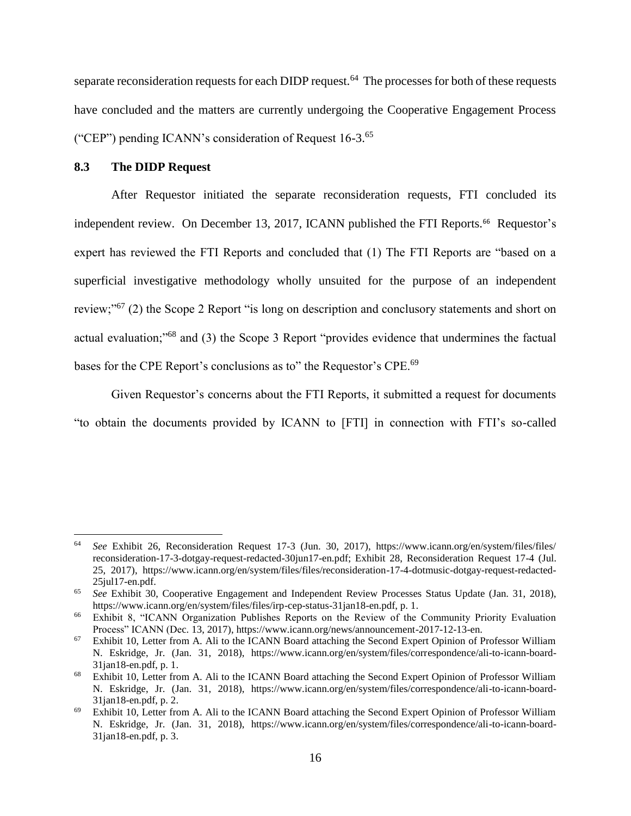separate reconsideration requests for each DIDP request.<sup>64</sup> The processes for both of these requests have concluded and the matters are currently undergoing the Cooperative Engagement Process ("CEP") pending ICANN's consideration of Request 16-3.<sup>65</sup>

#### **8.3 The DIDP Request**

 $\overline{a}$ 

After Requestor initiated the separate reconsideration requests, FTI concluded its independent review. On December 13, 2017, ICANN published the FTI Reports.<sup>66</sup> Requestor's expert has reviewed the FTI Reports and concluded that (1) The FTI Reports are "based on a superficial investigative methodology wholly unsuited for the purpose of an independent review;"<sup>67</sup> (2) the Scope 2 Report "is long on description and conclusory statements and short on actual evaluation;"<sup>68</sup> and (3) the Scope 3 Report "provides evidence that undermines the factual bases for the CPE Report's conclusions as to" the Requestor's CPE.<sup>69</sup>

Given Requestor's concerns about the FTI Reports, it submitted a request for documents "to obtain the documents provided by ICANN to [FTI] in connection with FTI's so-called

<sup>64</sup> *See* Exhibit 26, Reconsideration Request 17-3 (Jun. 30, 2017), https://www.icann.org/en/system/files/files/ reconsideration-17-3-dotgay-request-redacted-30jun17-en.pdf; Exhibit 28, Reconsideration Request 17-4 (Jul. 25, 2017), https://www.icann.org/en/system/files/files/reconsideration-17-4-dotmusic-dotgay-request-redacted-25jul17-en.pdf.

<sup>65</sup> *See* Exhibit 30, Cooperative Engagement and Independent Review Processes Status Update (Jan. 31, 2018), https://www.icann.org/en/system/files/files/irp-cep-status-31jan18-en.pdf, p. 1.

<sup>66</sup> Exhibit 8, "ICANN Organization Publishes Reports on the Review of the Community Priority Evaluation Process" ICANN (Dec. 13, 2017), https://www.icann.org/news/announcement-2017-12-13-en.

<sup>67</sup> Exhibit 10, Letter from A. Ali to the ICANN Board attaching the Second Expert Opinion of Professor William N. Eskridge, Jr. (Jan. 31, 2018), https://www.icann.org/en/system/files/correspondence/ali-to-icann-board-31jan18-en.pdf, p. 1.

<sup>&</sup>lt;sup>68</sup> Exhibit 10, Letter from A. Ali to the ICANN Board attaching the Second Expert Opinion of Professor William N. Eskridge, Jr. (Jan. 31, 2018), https://www.icann.org/en/system/files/correspondence/ali-to-icann-board-31jan18-en.pdf, p. 2.

Exhibit 10, Letter from A. Ali to the ICANN Board attaching the Second Expert Opinion of Professor William N. Eskridge, Jr. (Jan. 31, 2018), https://www.icann.org/en/system/files/correspondence/ali-to-icann-board-31jan18-en.pdf, p. 3.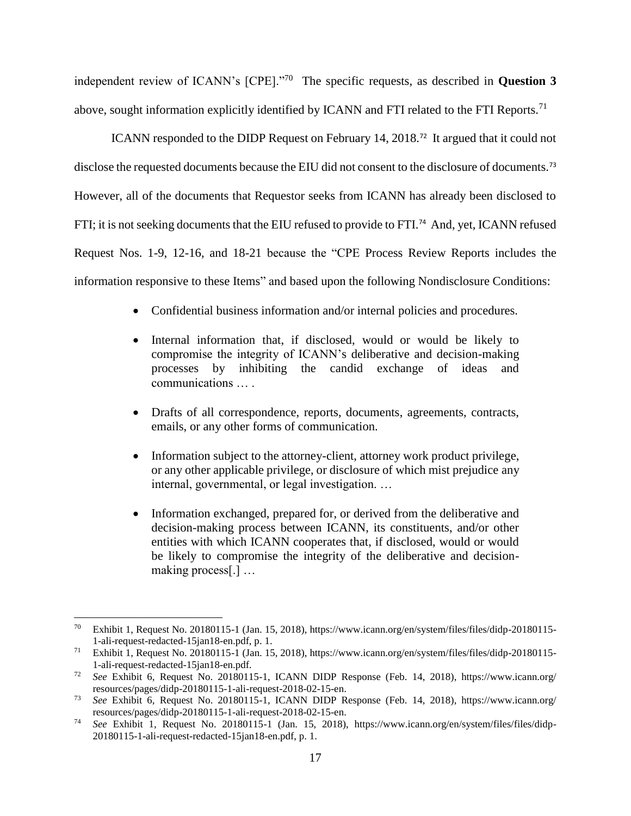independent review of ICANN's [CPE]."<sup>70</sup> The specific requests, as described in **Question 3**  above, sought information explicitly identified by ICANN and FTI related to the FTI Reports.<sup>71</sup>

ICANN responded to the DIDP Request on February 14, 2018.<sup>72</sup> It argued that it could not disclose the requested documents because the EIU did not consent to the disclosure of documents.<sup>73</sup> However, all of the documents that Requestor seeks from ICANN has already been disclosed to FTI; it is not seeking documents that the EIU refused to provide to FTI.<sup>74</sup> And, yet, ICANN refused Request Nos. 1-9, 12-16, and 18-21 because the "CPE Process Review Reports includes the information responsive to these Items" and based upon the following Nondisclosure Conditions:

- Confidential business information and/or internal policies and procedures.
- Internal information that, if disclosed, would or would be likely to compromise the integrity of ICANN's deliberative and decision-making processes by inhibiting the candid exchange of ideas and communications … .
- Drafts of all correspondence, reports, documents, agreements, contracts, emails, or any other forms of communication.
- Information subject to the attorney-client, attorney work product privilege, or any other applicable privilege, or disclosure of which mist prejudice any internal, governmental, or legal investigation. …
- Information exchanged, prepared for, or derived from the deliberative and decision-making process between ICANN, its constituents, and/or other entities with which ICANN cooperates that, if disclosed, would or would be likely to compromise the integrity of the deliberative and decisionmaking process[.] …

 $\overline{a}$ <sup>70</sup> Exhibit 1, Request No. 20180115-1 (Jan. 15, 2018), https://www.icann.org/en/system/files/files/didp-20180115- 1-ali-request-redacted-15jan18-en.pdf, p. 1.

<sup>71</sup> Exhibit 1, Request No. 20180115-1 (Jan. 15, 2018), https://www.icann.org/en/system/files/files/didp-20180115- 1-ali-request-redacted-15jan18-en.pdf.

<sup>72</sup> *See* Exhibit 6, Request No. 20180115-1, ICANN DIDP Response (Feb. 14, 2018), https://www.icann.org/ resources/pages/didp-20180115-1-ali-request-2018-02-15-en.

<sup>73</sup> *See* Exhibit 6, Request No. 20180115-1, ICANN DIDP Response (Feb. 14, 2018), https://www.icann.org/ resources/pages/didp-20180115-1-ali-request-2018-02-15-en.

<sup>74</sup> *See* Exhibit 1, Request No. 20180115-1 (Jan. 15, 2018), https://www.icann.org/en/system/files/files/didp-20180115-1-ali-request-redacted-15jan18-en.pdf, p. 1.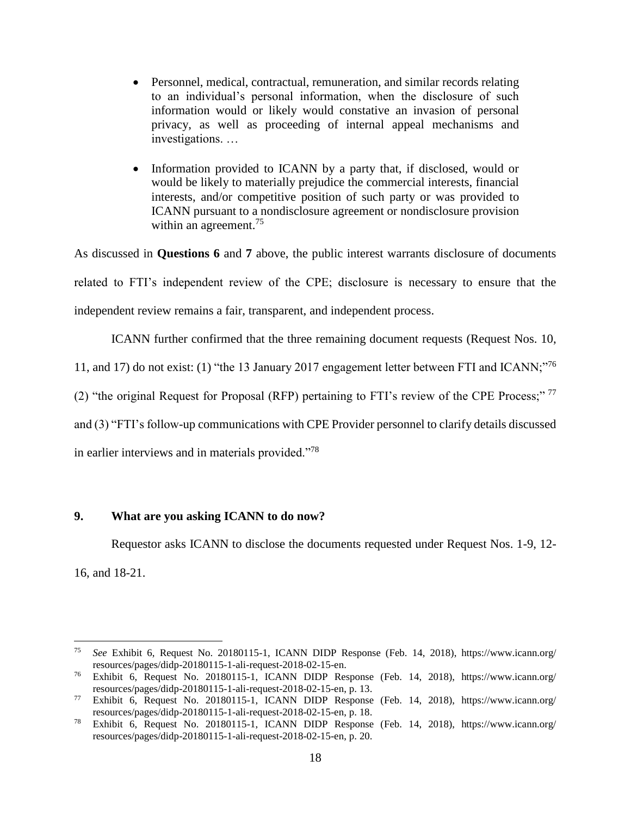- Personnel, medical, contractual, remuneration, and similar records relating to an individual's personal information, when the disclosure of such information would or likely would constative an invasion of personal privacy, as well as proceeding of internal appeal mechanisms and investigations. …
- Information provided to ICANN by a party that, if disclosed, would or would be likely to materially prejudice the commercial interests, financial interests, and/or competitive position of such party or was provided to ICANN pursuant to a nondisclosure agreement or nondisclosure provision within an agreement.<sup>75</sup>

As discussed in **Questions 6** and **7** above, the public interest warrants disclosure of documents related to FTI's independent review of the CPE; disclosure is necessary to ensure that the independent review remains a fair, transparent, and independent process.

ICANN further confirmed that the three remaining document requests (Request Nos. 10,

11, and 17) do not exist: (1) "the 13 January 2017 engagement letter between FTI and ICANN;"<sup>76</sup>

(2) "the original Request for Proposal (RFP) pertaining to FTI's review of the CPE Process;" <sup>77</sup>

and (3) "FTI's follow-up communications with CPE Provider personnel to clarify details discussed

in earlier interviews and in materials provided."<sup>78</sup>

## **9. What are you asking ICANN to do now?**

 $\overline{a}$ 

Requestor asks ICANN to disclose the documents requested under Request Nos. 1-9, 12- 16, and 18-21.

<sup>75</sup> *See* Exhibit 6, Request No. 20180115-1, ICANN DIDP Response (Feb. 14, 2018), https://www.icann.org/ resources/pages/didp-20180115-1-ali-request-2018-02-15-en.

<sup>76</sup> Exhibit 6, Request No. 20180115-1, ICANN DIDP Response (Feb. 14, 2018), https://www.icann.org/ resources/pages/didp-20180115-1-ali-request-2018-02-15-en, p. 13.

<sup>77</sup> Exhibit 6, Request No. 20180115-1, ICANN DIDP Response (Feb. 14, 2018), https://www.icann.org/ resources/pages/didp-20180115-1-ali-request-2018-02-15-en, p. 18.

<sup>78</sup> Exhibit 6, Request No. 20180115-1, ICANN DIDP Response (Feb. 14, 2018), https://www.icann.org/ resources/pages/didp-20180115-1-ali-request-2018-02-15-en, p. 20.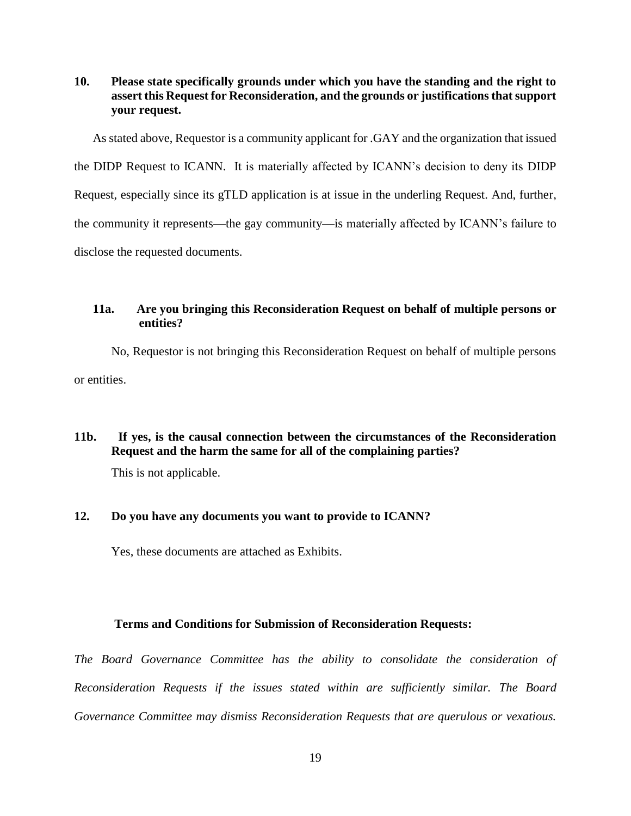**10. Please state specifically grounds under which you have the standing and the right to assert this Request for Reconsideration, and the grounds or justifications that support your request.** 

As stated above, Requestor is a community applicant for .GAY and the organization that issued the DIDP Request to ICANN. It is materially affected by ICANN's decision to deny its DIDP Request, especially since its gTLD application is at issue in the underling Request. And, further, the community it represents—the gay community—is materially affected by ICANN's failure to disclose the requested documents.

## **11a. Are you bringing this Reconsideration Request on behalf of multiple persons or entities?**

No, Requestor is not bringing this Reconsideration Request on behalf of multiple persons or entities.

# **11b. If yes, is the causal connection between the circumstances of the Reconsideration Request and the harm the same for all of the complaining parties?**

This is not applicable.

## **12. Do you have any documents you want to provide to ICANN?**

Yes, these documents are attached as Exhibits.

### **Terms and Conditions for Submission of Reconsideration Requests:**

*The Board Governance Committee has the ability to consolidate the consideration of Reconsideration Requests if the issues stated within are sufficiently similar. The Board Governance Committee may dismiss Reconsideration Requests that are querulous or vexatious.*